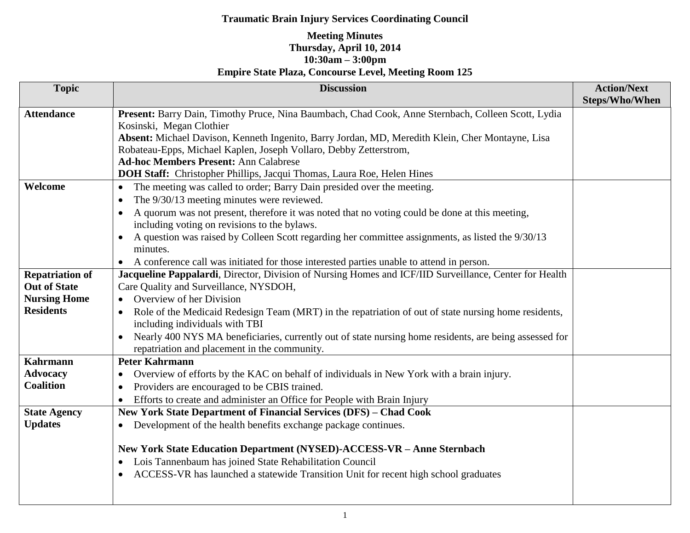## **Traumatic Brain Injury Services Coordinating Council**

## **Meeting Minutes Thursday, April 10, 2014 10:30am – 3:00pm Empire State Plaza, Concourse Level, Meeting Room 125**

| <b>Topic</b>           | <b>Discussion</b>                                                                                                                                      | <b>Action/Next</b><br><b>Steps/Who/When</b> |
|------------------------|--------------------------------------------------------------------------------------------------------------------------------------------------------|---------------------------------------------|
| <b>Attendance</b>      | Present: Barry Dain, Timothy Pruce, Nina Baumbach, Chad Cook, Anne Sternbach, Colleen Scott, Lydia                                                     |                                             |
|                        | Kosinski, Megan Clothier                                                                                                                               |                                             |
|                        | Absent: Michael Davison, Kenneth Ingenito, Barry Jordan, MD, Meredith Klein, Cher Montayne, Lisa                                                       |                                             |
|                        | Robateau-Epps, Michael Kaplen, Joseph Vollaro, Debby Zetterstrom,                                                                                      |                                             |
|                        | <b>Ad-hoc Members Present: Ann Calabrese</b>                                                                                                           |                                             |
|                        | DOH Staff: Christopher Phillips, Jacqui Thomas, Laura Roe, Helen Hines                                                                                 |                                             |
| Welcome                | The meeting was called to order; Barry Dain presided over the meeting.<br>$\bullet$                                                                    |                                             |
|                        | The 9/30/13 meeting minutes were reviewed.<br>$\bullet$                                                                                                |                                             |
|                        | A quorum was not present, therefore it was noted that no voting could be done at this meeting,<br>including voting on revisions to the bylaws.         |                                             |
|                        | A question was raised by Colleen Scott regarding her committee assignments, as listed the 9/30/13<br>minutes.                                          |                                             |
|                        | A conference call was initiated for those interested parties unable to attend in person.                                                               |                                             |
| <b>Repatriation of</b> | Jacqueline Pappalardi, Director, Division of Nursing Homes and ICF/IID Surveillance, Center for Health                                                 |                                             |
| <b>Out of State</b>    | Care Quality and Surveillance, NYSDOH,                                                                                                                 |                                             |
| <b>Nursing Home</b>    | Overview of her Division                                                                                                                               |                                             |
| <b>Residents</b>       | Role of the Medicaid Redesign Team (MRT) in the repatriation of out of state nursing home residents,                                                   |                                             |
|                        | including individuals with TBI                                                                                                                         |                                             |
|                        | Nearly 400 NYS MA beneficiaries, currently out of state nursing home residents, are being assessed for<br>repatriation and placement in the community. |                                             |
| <b>Kahrmann</b>        | <b>Peter Kahrmann</b>                                                                                                                                  |                                             |
| <b>Advocacy</b>        | Overview of efforts by the KAC on behalf of individuals in New York with a brain injury.<br>$\bullet$                                                  |                                             |
| <b>Coalition</b>       | Providers are encouraged to be CBIS trained.<br>$\bullet$                                                                                              |                                             |
|                        | Efforts to create and administer an Office for People with Brain Injury                                                                                |                                             |
| <b>State Agency</b>    | New York State Department of Financial Services (DFS) - Chad Cook                                                                                      |                                             |
| <b>Updates</b>         | Development of the health benefits exchange package continues.<br>$\bullet$                                                                            |                                             |
|                        |                                                                                                                                                        |                                             |
|                        | New York State Education Department (NYSED)-ACCESS-VR - Anne Sternbach                                                                                 |                                             |
|                        | Lois Tannenbaum has joined State Rehabilitation Council<br>$\bullet$                                                                                   |                                             |
|                        | ACCESS-VR has launched a statewide Transition Unit for recent high school graduates<br>$\bullet$                                                       |                                             |
|                        |                                                                                                                                                        |                                             |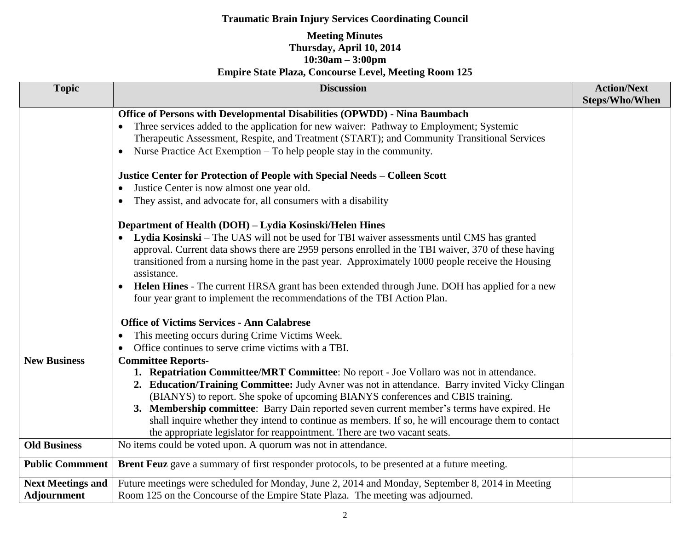## **Traumatic Brain Injury Services Coordinating Council**

## **Meeting Minutes Thursday, April 10, 2014 10:30am – 3:00pm Empire State Plaza, Concourse Level, Meeting Room 125**

| <b>Topic</b>             | <b>Discussion</b>                                                                                           | <b>Action/Next</b>    |
|--------------------------|-------------------------------------------------------------------------------------------------------------|-----------------------|
|                          |                                                                                                             | <b>Steps/Who/When</b> |
|                          | Office of Persons with Developmental Disabilities (OPWDD) - Nina Baumbach                                   |                       |
|                          | Three services added to the application for new waiver: Pathway to Employment; Systemic<br>$\bullet$        |                       |
|                          | Therapeutic Assessment, Respite, and Treatment (START); and Community Transitional Services                 |                       |
|                          | Nurse Practice Act Exemption – To help people stay in the community.<br>$\bullet$                           |                       |
|                          | Justice Center for Protection of People with Special Needs - Colleen Scott                                  |                       |
|                          | Justice Center is now almost one year old.<br>$\bullet$                                                     |                       |
|                          | They assist, and advocate for, all consumers with a disability<br>$\bullet$                                 |                       |
|                          | Department of Health (DOH) - Lydia Kosinski/Helen Hines                                                     |                       |
|                          | Lydia Kosinski – The UAS will not be used for TBI waiver assessments until CMS has granted<br>$\bullet$     |                       |
|                          | approval. Current data shows there are 2959 persons enrolled in the TBI waiver, 370 of these having         |                       |
|                          | transitioned from a nursing home in the past year. Approximately 1000 people receive the Housing            |                       |
|                          | assistance.                                                                                                 |                       |
|                          | Helen Hines - The current HRSA grant has been extended through June. DOH has applied for a new<br>$\bullet$ |                       |
|                          | four year grant to implement the recommendations of the TBI Action Plan.                                    |                       |
|                          | <b>Office of Victims Services - Ann Calabrese</b>                                                           |                       |
|                          | This meeting occurs during Crime Victims Week.                                                              |                       |
|                          | Office continues to serve crime victims with a TBI.<br>$\bullet$                                            |                       |
| <b>New Business</b>      | <b>Committee Reports-</b>                                                                                   |                       |
|                          | 1. Repatriation Committee/MRT Committee: No report - Joe Vollaro was not in attendance.                     |                       |
|                          | 2. Education/Training Committee: Judy Avner was not in attendance. Barry invited Vicky Clingan              |                       |
|                          | (BIANYS) to report. She spoke of upcoming BIANYS conferences and CBIS training.                             |                       |
|                          | 3. Membership committee: Barry Dain reported seven current member's terms have expired. He                  |                       |
|                          | shall inquire whether they intend to continue as members. If so, he will encourage them to contact          |                       |
|                          | the appropriate legislator for reappointment. There are two vacant seats.                                   |                       |
| <b>Old Business</b>      | No items could be voted upon. A quorum was not in attendance.                                               |                       |
| <b>Public Commment</b>   | <b>Brent Feuz</b> gave a summary of first responder protocols, to be presented at a future meeting.         |                       |
| <b>Next Meetings and</b> | Future meetings were scheduled for Monday, June 2, 2014 and Monday, September 8, 2014 in Meeting            |                       |
| <b>Adjournment</b>       | Room 125 on the Concourse of the Empire State Plaza. The meeting was adjourned.                             |                       |